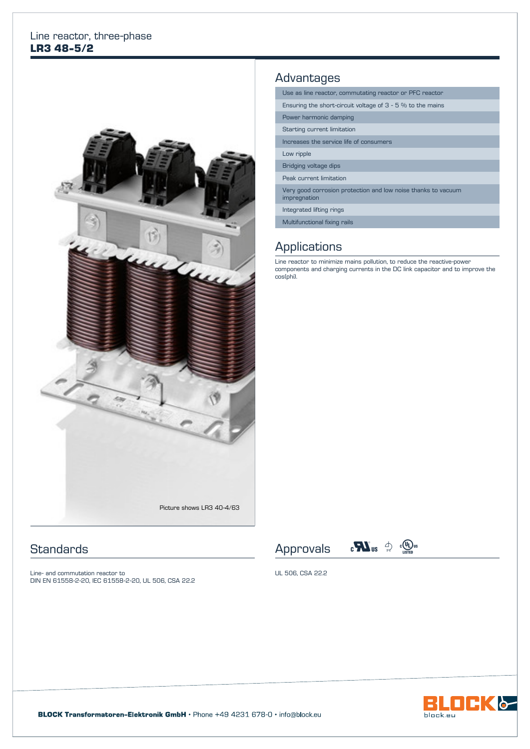#### Line reactor, three-phase **LR3 48-5/2**



## **Standards**

Line- and commutation reactor to DIN EN 61558-2-20, IEC 61558-2-20, UL 506, CSA 22.2

# Advantages

| Use as line reactor, commutating reactor or PFC reactor                       |  |  |  |  |
|-------------------------------------------------------------------------------|--|--|--|--|
| Ensuring the short-circuit voltage of $3 - 5$ % to the mains                  |  |  |  |  |
| Power harmonic damping                                                        |  |  |  |  |
| Starting current limitation                                                   |  |  |  |  |
| Increases the service life of consumers                                       |  |  |  |  |
| Low ripple                                                                    |  |  |  |  |
| Bridging voltage dips                                                         |  |  |  |  |
| Peak current limitation                                                       |  |  |  |  |
| Very good corrosion protection and low noise thanks to vacuum<br>impregnation |  |  |  |  |
| Integrated lifting rings                                                      |  |  |  |  |
| Multifunctional fixing rails                                                  |  |  |  |  |

## **Applications**

Line reactor to minimize mains pollution, to reduce the reactive-power components and charging currents in the DC link capacitor and to improve the cos(phi).





UL 506, CSA 22.2